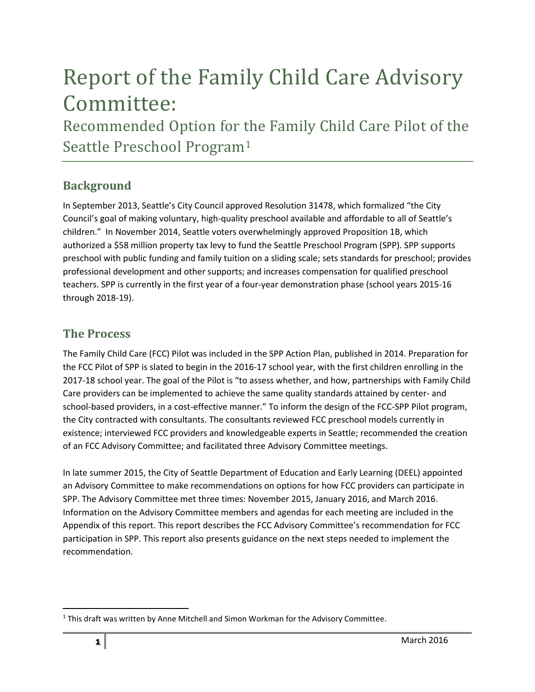# Report of the Family Child Care Advisory Committee:

Recommended Option for the Family Child Care Pilot of the Seattle Preschool Program<sup>1</sup>

### **Background**

In September 2013, Seattle's City Council approved Resolution 31478, which formalized "the City Council's goal of making voluntary, high-quality preschool available and affordable to all of Seattle's children." In November 2014, Seattle voters overwhelmingly approved Proposition 1B, which authorized a \$58 million property tax levy to fund the Seattle Preschool Program (SPP). SPP supports preschool with public funding and family tuition on a sliding scale; sets standards for preschool; provides professional development and other supports; and increases compensation for qualified preschool teachers. SPP is currently in the first year of a four-year demonstration phase (school years 2015-16 through 2018-19).

### **The Process**

The Family Child Care (FCC) Pilot was included in the SPP Action Plan, published in 2014. Preparation for the FCC Pilot of SPP is slated to begin in the 2016-17 school year, with the first children enrolling in the 2017-18 school year. The goal of the Pilot is "to assess whether, and how, partnerships with Family Child Care providers can be implemented to achieve the same quality standards attained by center- and school-based providers, in a cost-effective manner." To inform the design of the FCC-SPP Pilot program, the City contracted with consultants. The consultants reviewed FCC preschool models currently in existence; interviewed FCC providers and knowledgeable experts in Seattle; recommended the creation of an FCC Advisory Committee; and facilitated three Advisory Committee meetings.

In late summer 2015, the City of Seattle Department of Education and Early Learning (DEEL) appointed an Advisory Committee to make recommendations on options for how FCC providers can participate in SPP. The Advisory Committee met three times: November 2015, January 2016, and March 2016. Information on the Advisory Committee members and agendas for each meeting are included in the Appendix of this report. This report describes the FCC Advisory Committee's recommendation for FCC participation in SPP. This report also presents guidance on the next steps needed to implement the recommendation.

 $\overline{\phantom{a}}$ 

 $1$  This draft was written by Anne Mitchell and Simon Workman for the Advisory Committee.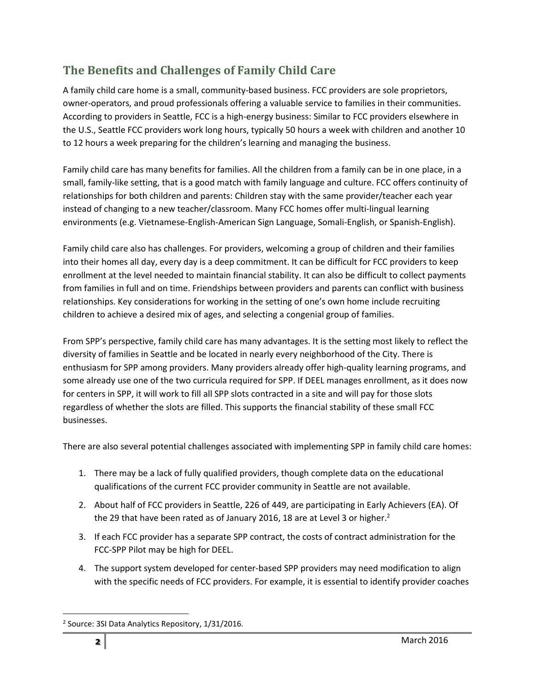# **The Benefits and Challenges of Family Child Care**

A family child care home is a small, community-based business. FCC providers are sole proprietors, owner-operators, and proud professionals offering a valuable service to families in their communities. According to providers in Seattle, FCC is a high-energy business: Similar to FCC providers elsewhere in the U.S., Seattle FCC providers work long hours, typically 50 hours a week with children and another 10 to 12 hours a week preparing for the children's learning and managing the business.

Family child care has many benefits for families. All the children from a family can be in one place, in a small, family-like setting, that is a good match with family language and culture. FCC offers continuity of relationships for both children and parents: Children stay with the same provider/teacher each year instead of changing to a new teacher/classroom. Many FCC homes offer multi-lingual learning environments (e.g. Vietnamese-English-American Sign Language, Somali-English, or Spanish-English).

Family child care also has challenges. For providers, welcoming a group of children and their families into their homes all day, every day is a deep commitment. It can be difficult for FCC providers to keep enrollment at the level needed to maintain financial stability. It can also be difficult to collect payments from families in full and on time. Friendships between providers and parents can conflict with business relationships. Key considerations for working in the setting of one's own home include recruiting children to achieve a desired mix of ages, and selecting a congenial group of families.

From SPP's perspective, family child care has many advantages. It is the setting most likely to reflect the diversity of families in Seattle and be located in nearly every neighborhood of the City. There is enthusiasm for SPP among providers. Many providers already offer high-quality learning programs, and some already use one of the two curricula required for SPP. If DEEL manages enrollment, as it does now for centers in SPP, it will work to fill all SPP slots contracted in a site and will pay for those slots regardless of whether the slots are filled. This supports the financial stability of these small FCC businesses.

There are also several potential challenges associated with implementing SPP in family child care homes:

- 1. There may be a lack of fully qualified providers, though complete data on the educational qualifications of the current FCC provider community in Seattle are not available.
- 2. About half of FCC providers in Seattle, 226 of 449, are participating in Early Achievers (EA). Of the 29 that have been rated as of January 2016, 18 are at Level 3 or higher.<sup>2</sup>
- 3. If each FCC provider has a separate SPP contract, the costs of contract administration for the FCC-SPP Pilot may be high for DEEL.
- 4. The support system developed for center-based SPP providers may need modification to align with the specific needs of FCC providers. For example, it is essential to identify provider coaches

 $\overline{\phantom{a}}$ <sup>2</sup> Source: 3SI Data Analytics Repository, 1/31/2016.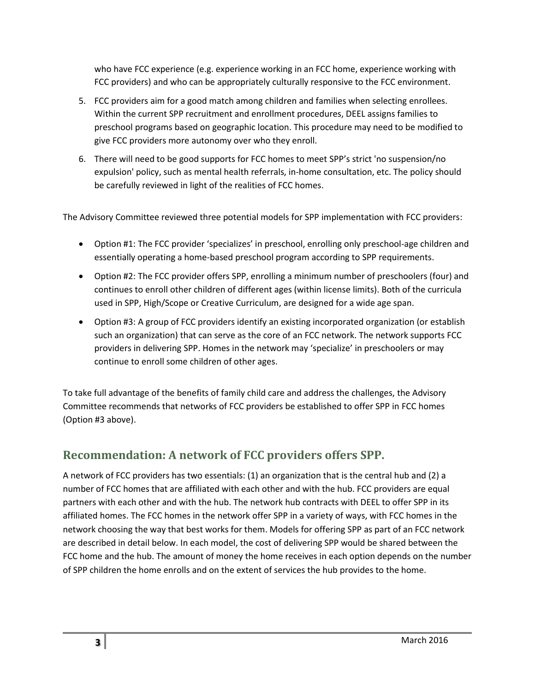who have FCC experience (e.g. experience working in an FCC home, experience working with FCC providers) and who can be appropriately culturally responsive to the FCC environment.

- 5. FCC providers aim for a good match among children and families when selecting enrollees. Within the current SPP recruitment and enrollment procedures, DEEL assigns families to preschool programs based on geographic location. This procedure may need to be modified to give FCC providers more autonomy over who they enroll.
- 6. There will need to be good supports for FCC homes to meet SPP's strict 'no suspension/no expulsion' policy, such as mental health referrals, in-home consultation, etc. The policy should be carefully reviewed in light of the realities of FCC homes.

The Advisory Committee reviewed three potential models for SPP implementation with FCC providers:

- Option #1: The FCC provider 'specializes' in preschool, enrolling only preschool-age children and essentially operating a home-based preschool program according to SPP requirements.
- Option #2: The FCC provider offers SPP, enrolling a minimum number of preschoolers (four) and continues to enroll other children of different ages (within license limits). Both of the curricula used in SPP, High/Scope or Creative Curriculum, are designed for a wide age span.
- Option #3: A group of FCC providers identify an existing incorporated organization (or establish such an organization) that can serve as the core of an FCC network. The network supports FCC providers in delivering SPP. Homes in the network may 'specialize' in preschoolers or may continue to enroll some children of other ages.

To take full advantage of the benefits of family child care and address the challenges, the Advisory Committee recommends that networks of FCC providers be established to offer SPP in FCC homes (Option #3 above).

# **Recommendation: A network of FCC providers offers SPP.**

A network of FCC providers has two essentials: (1) an organization that is the central hub and (2) a number of FCC homes that are affiliated with each other and with the hub. FCC providers are equal partners with each other and with the hub. The network hub contracts with DEEL to offer SPP in its affiliated homes. The FCC homes in the network offer SPP in a variety of ways, with FCC homes in the network choosing the way that best works for them. Models for offering SPP as part of an FCC network are described in detail below. In each model, the cost of delivering SPP would be shared between the FCC home and the hub. The amount of money the home receives in each option depends on the number of SPP children the home enrolls and on the extent of services the hub provides to the home.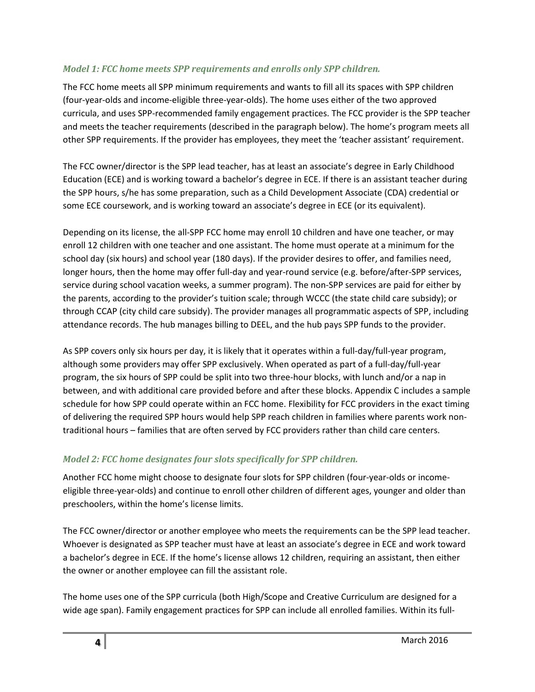#### *Model 1: FCC home meets SPP requirements and enrolls only SPP children.*

The FCC home meets all SPP minimum requirements and wants to fill all its spaces with SPP children (four-year-olds and income-eligible three-year-olds). The home uses either of the two approved curricula, and uses SPP-recommended family engagement practices. The FCC provider is the SPP teacher and meets the teacher requirements (described in the paragraph below). The home's program meets all other SPP requirements. If the provider has employees, they meet the 'teacher assistant' requirement.

The FCC owner/director is the SPP lead teacher, has at least an associate's degree in Early Childhood Education (ECE) and is working toward a bachelor's degree in ECE. If there is an assistant teacher during the SPP hours, s/he has some preparation, such as a Child Development Associate (CDA) credential or some ECE coursework, and is working toward an associate's degree in ECE (or its equivalent).

Depending on its license, the all-SPP FCC home may enroll 10 children and have one teacher, or may enroll 12 children with one teacher and one assistant. The home must operate at a minimum for the school day (six hours) and school year (180 days). If the provider desires to offer, and families need, longer hours, then the home may offer full-day and year-round service (e.g. before/after-SPP services, service during school vacation weeks, a summer program). The non-SPP services are paid for either by the parents, according to the provider's tuition scale; through WCCC (the state child care subsidy); or through CCAP (city child care subsidy). The provider manages all programmatic aspects of SPP, including attendance records. The hub manages billing to DEEL, and the hub pays SPP funds to the provider.

As SPP covers only six hours per day, it is likely that it operates within a full-day/full-year program, although some providers may offer SPP exclusively. When operated as part of a full-day/full-year program, the six hours of SPP could be split into two three-hour blocks, with lunch and/or a nap in between, and with additional care provided before and after these blocks. Appendix C includes a sample schedule for how SPP could operate within an FCC home. Flexibility for FCC providers in the exact timing of delivering the required SPP hours would help SPP reach children in families where parents work nontraditional hours – families that are often served by FCC providers rather than child care centers.

#### *Model 2: FCC home designates four slots specifically for SPP children.*

Another FCC home might choose to designate four slots for SPP children (four-year-olds or incomeeligible three-year-olds) and continue to enroll other children of different ages, younger and older than preschoolers, within the home's license limits.

The FCC owner/director or another employee who meets the requirements can be the SPP lead teacher. Whoever is designated as SPP teacher must have at least an associate's degree in ECE and work toward a bachelor's degree in ECE. If the home's license allows 12 children, requiring an assistant, then either the owner or another employee can fill the assistant role.

The home uses one of the SPP curricula (both High/Scope and Creative Curriculum are designed for a wide age span). Family engagement practices for SPP can include all enrolled families. Within its full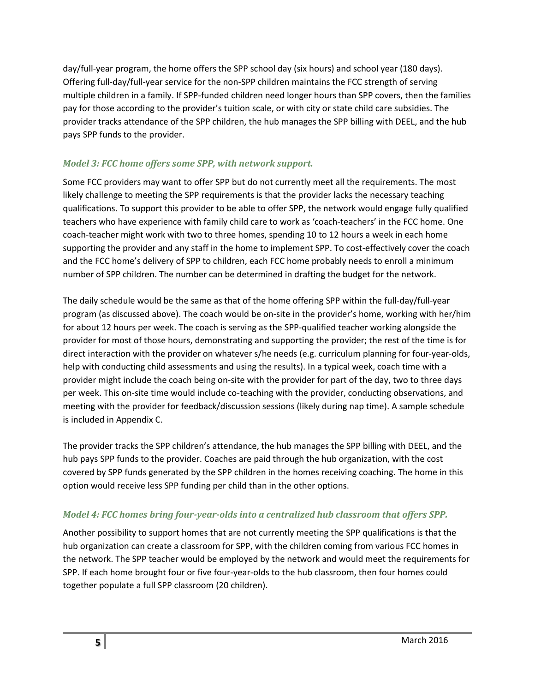day/full-year program, the home offers the SPP school day (six hours) and school year (180 days). Offering full-day/full-year service for the non-SPP children maintains the FCC strength of serving multiple children in a family. If SPP-funded children need longer hours than SPP covers, then the families pay for those according to the provider's tuition scale, or with city or state child care subsidies. The provider tracks attendance of the SPP children, the hub manages the SPP billing with DEEL, and the hub pays SPP funds to the provider.

#### *Model 3: FCC home offers some SPP, with network support.*

Some FCC providers may want to offer SPP but do not currently meet all the requirements. The most likely challenge to meeting the SPP requirements is that the provider lacks the necessary teaching qualifications. To support this provider to be able to offer SPP, the network would engage fully qualified teachers who have experience with family child care to work as 'coach-teachers' in the FCC home. One coach-teacher might work with two to three homes, spending 10 to 12 hours a week in each home supporting the provider and any staff in the home to implement SPP. To cost-effectively cover the coach and the FCC home's delivery of SPP to children, each FCC home probably needs to enroll a minimum number of SPP children. The number can be determined in drafting the budget for the network.

The daily schedule would be the same as that of the home offering SPP within the full-day/full-year program (as discussed above). The coach would be on-site in the provider's home, working with her/him for about 12 hours per week. The coach is serving as the SPP-qualified teacher working alongside the provider for most of those hours, demonstrating and supporting the provider; the rest of the time is for direct interaction with the provider on whatever s/he needs (e.g. curriculum planning for four-year-olds, help with conducting child assessments and using the results). In a typical week, coach time with a provider might include the coach being on-site with the provider for part of the day, two to three days per week. This on-site time would include co-teaching with the provider, conducting observations, and meeting with the provider for feedback/discussion sessions (likely during nap time). A sample schedule is included in Appendix C.

The provider tracks the SPP children's attendance, the hub manages the SPP billing with DEEL, and the hub pays SPP funds to the provider. Coaches are paid through the hub organization, with the cost covered by SPP funds generated by the SPP children in the homes receiving coaching. The home in this option would receive less SPP funding per child than in the other options.

#### *Model 4: FCC homes bring four-year-olds into a centralized hub classroom that offers SPP.*

Another possibility to support homes that are not currently meeting the SPP qualifications is that the hub organization can create a classroom for SPP, with the children coming from various FCC homes in the network. The SPP teacher would be employed by the network and would meet the requirements for SPP. If each home brought four or five four-year-olds to the hub classroom, then four homes could together populate a full SPP classroom (20 children).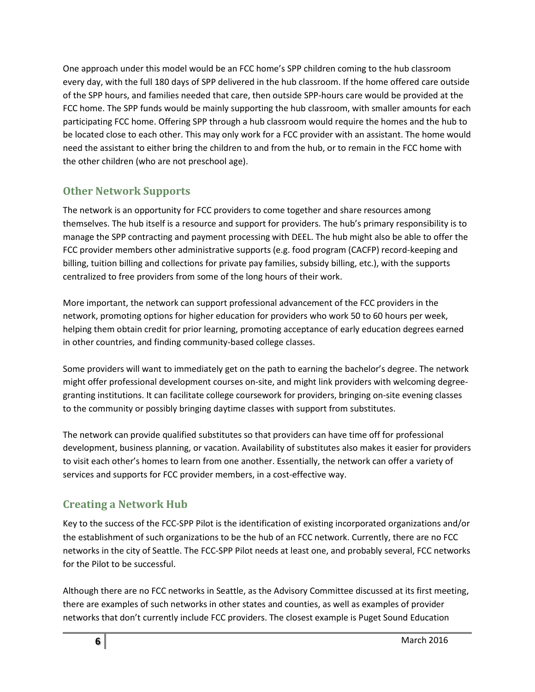One approach under this model would be an FCC home's SPP children coming to the hub classroom every day, with the full 180 days of SPP delivered in the hub classroom. If the home offered care outside of the SPP hours, and families needed that care, then outside SPP-hours care would be provided at the FCC home. The SPP funds would be mainly supporting the hub classroom, with smaller amounts for each participating FCC home. Offering SPP through a hub classroom would require the homes and the hub to be located close to each other. This may only work for a FCC provider with an assistant. The home would need the assistant to either bring the children to and from the hub, or to remain in the FCC home with the other children (who are not preschool age).

### **Other Network Supports**

The network is an opportunity for FCC providers to come together and share resources among themselves. The hub itself is a resource and support for providers. The hub's primary responsibility is to manage the SPP contracting and payment processing with DEEL. The hub might also be able to offer the FCC provider members other administrative supports (e.g. food program (CACFP) record-keeping and billing, tuition billing and collections for private pay families, subsidy billing, etc.), with the supports centralized to free providers from some of the long hours of their work.

More important, the network can support professional advancement of the FCC providers in the network, promoting options for higher education for providers who work 50 to 60 hours per week, helping them obtain credit for prior learning, promoting acceptance of early education degrees earned in other countries, and finding community-based college classes.

Some providers will want to immediately get on the path to earning the bachelor's degree. The network might offer professional development courses on-site, and might link providers with welcoming degreegranting institutions. It can facilitate college coursework for providers, bringing on-site evening classes to the community or possibly bringing daytime classes with support from substitutes.

The network can provide qualified substitutes so that providers can have time off for professional development, business planning, or vacation. Availability of substitutes also makes it easier for providers to visit each other's homes to learn from one another. Essentially, the network can offer a variety of services and supports for FCC provider members, in a cost-effective way.

### **Creating a Network Hub**

Key to the success of the FCC-SPP Pilot is the identification of existing incorporated organizations and/or the establishment of such organizations to be the hub of an FCC network. Currently, there are no FCC networks in the city of Seattle. The FCC-SPP Pilot needs at least one, and probably several, FCC networks for the Pilot to be successful.

Although there are no FCC networks in Seattle, as the Advisory Committee discussed at its first meeting, there are examples of such networks in other states and counties, as well as examples of provider networks that don't currently include FCC providers. The closest example is Puget Sound Education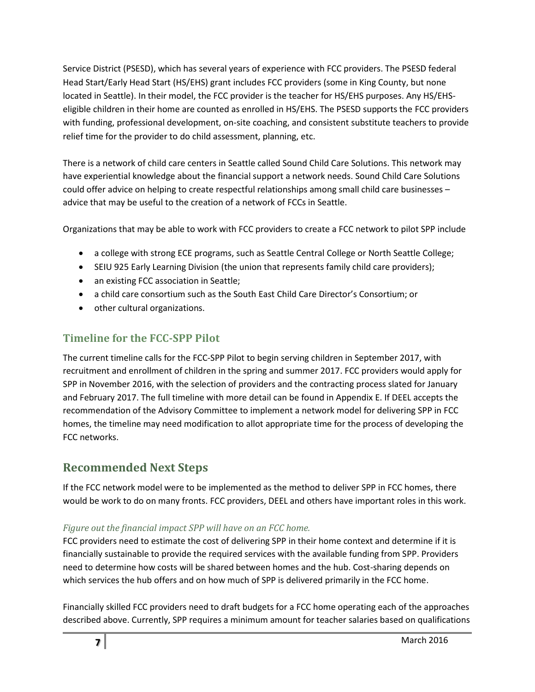Service District (PSESD), which has several years of experience with FCC providers. The PSESD federal Head Start/Early Head Start (HS/EHS) grant includes FCC providers (some in King County, but none located in Seattle). In their model, the FCC provider is the teacher for HS/EHS purposes. Any HS/EHSeligible children in their home are counted as enrolled in HS/EHS. The PSESD supports the FCC providers with funding, professional development, on-site coaching, and consistent substitute teachers to provide relief time for the provider to do child assessment, planning, etc.

There is a network of child care centers in Seattle called Sound Child Care Solutions. This network may have experiential knowledge about the financial support a network needs. Sound Child Care Solutions could offer advice on helping to create respectful relationships among small child care businesses – advice that may be useful to the creation of a network of FCCs in Seattle.

Organizations that may be able to work with FCC providers to create a FCC network to pilot SPP include

- a college with strong ECE programs, such as Seattle Central College or North Seattle College;
- SEIU 925 Early Learning Division (the union that represents family child care providers);
- an existing FCC association in Seattle;
- a child care consortium such as the South East Child Care Director's Consortium; or
- other cultural organizations.

### **Timeline for the FCC-SPP Pilot**

The current timeline calls for the FCC-SPP Pilot to begin serving children in September 2017, with recruitment and enrollment of children in the spring and summer 2017. FCC providers would apply for SPP in November 2016, with the selection of providers and the contracting process slated for January and February 2017. The full timeline with more detail can be found in Appendix E. If DEEL accepts the recommendation of the Advisory Committee to implement a network model for delivering SPP in FCC homes, the timeline may need modification to allot appropriate time for the process of developing the FCC networks.

## **Recommended Next Steps**

If the FCC network model were to be implemented as the method to deliver SPP in FCC homes, there would be work to do on many fronts. FCC providers, DEEL and others have important roles in this work.

#### *Figure out the financial impact SPP will have on an FCC home.*

FCC providers need to estimate the cost of delivering SPP in their home context and determine if it is financially sustainable to provide the required services with the available funding from SPP. Providers need to determine how costs will be shared between homes and the hub. Cost-sharing depends on which services the hub offers and on how much of SPP is delivered primarily in the FCC home.

Financially skilled FCC providers need to draft budgets for a FCC home operating each of the approaches described above. Currently, SPP requires a minimum amount for teacher salaries based on qualifications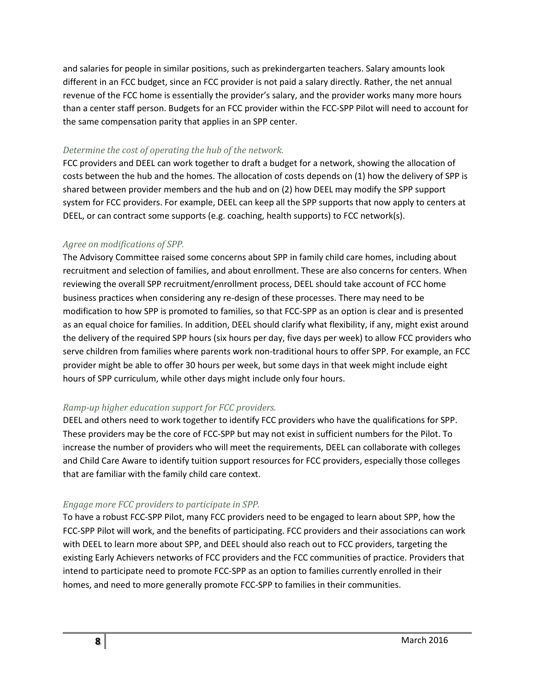and salaries for people in similar positions, such as prekindergarten teachers. Salary amounts look different in an FCC budget, since an FCC provider is not paid a salary directly. Rather, the net annual revenue of the FCC home is essentially the provider's salary, and the provider works many more hours than a center staff person. Budgets for an FCC provider within the FCC-SPP Pilot will need to account for the same compensation parity that applies in an SPP center.

#### *Determine the cost of operating the hub of the network.*

FCC providers and DEEL can work together to draft a budget for a network, showing the allocation of costs between the hub and the homes. The allocation of costs depends on (1) how the delivery of SPP is shared between provider members and the hub and on (2) how DEEL may modify the SPP support system for FCC providers. For example, DEEL can keep all the SPP supports that now apply to centers at DEEL, or can contract some supports (e.g. coaching, health supports) to FCC network(s).

#### *Agree on modifications of SPP.*

The Advisory Committee raised some concerns about SPP in family child care homes, including about recruitment and selection of families, and about enrollment. These are also concerns for centers. When reviewing the overall SPP recruitment/enrollment process, DEEL should take account of FCC home business practices when considering any re-design of these processes. There may need to be modification to how SPP is promoted to families, so that FCC-SPP as an option is clear and is presented as an equal choice for families. In addition, DEEL should clarify what flexibility, if any, might exist around the delivery of the required SPP hours (six hours per day, five days per week) to allow FCC providers who serve children from families where parents work non-traditional hours to offer SPP. For example, an FCC provider might be able to offer 30 hours per week, but some days in that week might include eight hours of SPP curriculum, while other days might include only four hours.

#### *Ramp-up higher education support for FCC providers.*

DEEL and others need to work together to identify FCC providers who have the qualifications for SPP. These providers may be the core of FCC-SPP but may not exist in sufficient numbers for the Pilot. To increase the number of providers who will meet the requirements, DEEL can collaborate with colleges and Child Care Aware to identify tuition support resources for FCC providers, especially those colleges that are familiar with the family child care context.

#### *Engage more FCC providers to participate in SPP.*

To have a robust FCC-SPP Pilot, many FCC providers need to be engaged to learn about SPP, how the FCC-SPP Pilot will work, and the benefits of participating. FCC providers and their associations can work with DEEL to learn more about SPP, and DEEL should also reach out to FCC providers, targeting the existing Early Achievers networks of FCC providers and the FCC communities of practice. Providers that intend to participate need to promote FCC-SPP as an option to families currently enrolled in their homes, and need to more generally promote FCC-SPP to families in their communities.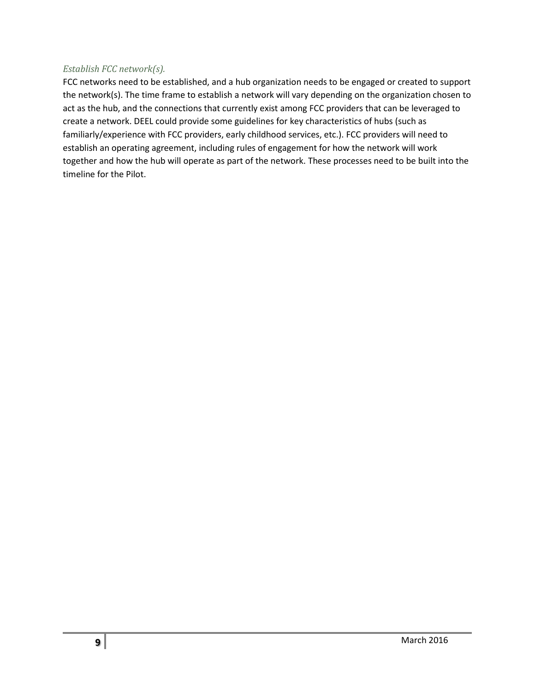#### *Establish FCC network(s).*

FCC networks need to be established, and a hub organization needs to be engaged or created to support the network(s). The time frame to establish a network will vary depending on the organization chosen to act as the hub, and the connections that currently exist among FCC providers that can be leveraged to create a network. DEEL could provide some guidelines for key characteristics of hubs (such as familiarly/experience with FCC providers, early childhood services, etc.). FCC providers will need to establish an operating agreement, including rules of engagement for how the network will work together and how the hub will operate as part of the network. These processes need to be built into the timeline for the Pilot.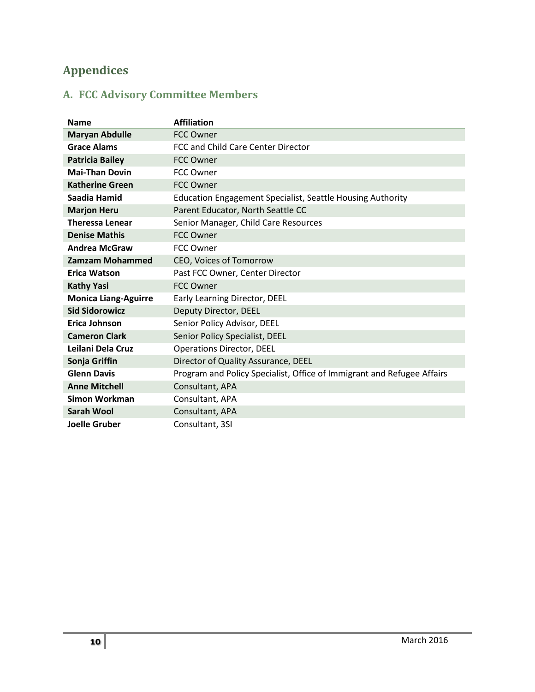# **Appendices**

# **A. FCC Advisory Committee Members**

| <b>Name</b>                 | <b>Affiliation</b>                                                     |
|-----------------------------|------------------------------------------------------------------------|
| <b>Maryan Abdulle</b>       | <b>FCC Owner</b>                                                       |
| <b>Grace Alams</b>          | FCC and Child Care Center Director                                     |
| <b>Patricia Bailey</b>      | <b>FCC Owner</b>                                                       |
| <b>Mai-Than Dovin</b>       | <b>FCC Owner</b>                                                       |
| <b>Katherine Green</b>      | <b>FCC Owner</b>                                                       |
| Saadia Hamid                | <b>Education Engagement Specialist, Seattle Housing Authority</b>      |
| <b>Marjon Heru</b>          | Parent Educator, North Seattle CC                                      |
| <b>Theressa Lenear</b>      | Senior Manager, Child Care Resources                                   |
| <b>Denise Mathis</b>        | <b>FCC Owner</b>                                                       |
| <b>Andrea McGraw</b>        | <b>FCC Owner</b>                                                       |
| <b>Zamzam Mohammed</b>      | CEO, Voices of Tomorrow                                                |
| <b>Erica Watson</b>         | Past FCC Owner, Center Director                                        |
| <b>Kathy Yasi</b>           | <b>FCC Owner</b>                                                       |
| <b>Monica Liang-Aguirre</b> | Early Learning Director, DEEL                                          |
| <b>Sid Sidorowicz</b>       | Deputy Director, DEEL                                                  |
| Erica Johnson               | Senior Policy Advisor, DEEL                                            |
| <b>Cameron Clark</b>        | Senior Policy Specialist, DEEL                                         |
| Leilani Dela Cruz           | <b>Operations Director, DEEL</b>                                       |
| Sonja Griffin               | Director of Quality Assurance, DEEL                                    |
| <b>Glenn Davis</b>          | Program and Policy Specialist, Office of Immigrant and Refugee Affairs |
| <b>Anne Mitchell</b>        | Consultant, APA                                                        |
| <b>Simon Workman</b>        | Consultant, APA                                                        |
| <b>Sarah Wool</b>           | Consultant, APA                                                        |
| <b>Joelle Gruber</b>        | Consultant, 3SI                                                        |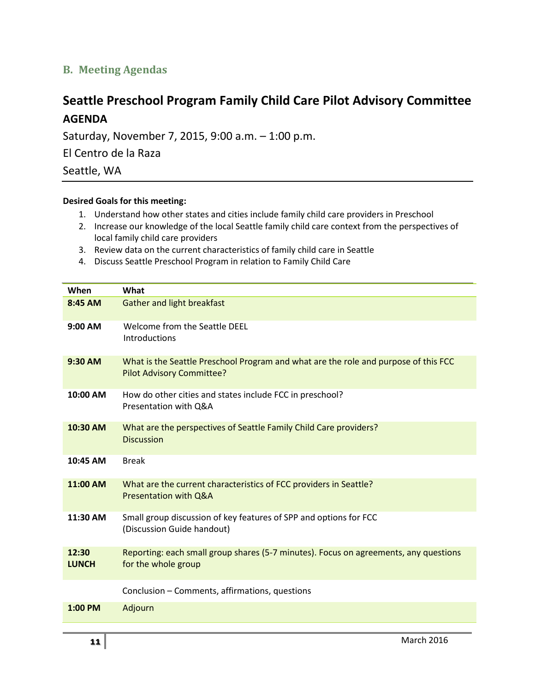### **B. Meeting Agendas**

# **Seattle Preschool Program Family Child Care Pilot Advisory Committee AGENDA**

Saturday, November 7, 2015, 9:00 a.m. – 1:00 p.m.

El Centro de la Raza

Seattle, WA

#### **Desired Goals for this meeting:**

- 1. Understand how other states and cities include family child care providers in Preschool
- 2. Increase our knowledge of the local Seattle family child care context from the perspectives of local family child care providers
- 3. Review data on the current characteristics of family child care in Seattle
- 4. Discuss Seattle Preschool Program in relation to Family Child Care

| When                  | What                                                                                                                    |
|-----------------------|-------------------------------------------------------------------------------------------------------------------------|
| 8:45 AM               | <b>Gather and light breakfast</b>                                                                                       |
| 9:00 AM               | Welcome from the Seattle DEEL<br><b>Introductions</b>                                                                   |
| 9:30 AM               | What is the Seattle Preschool Program and what are the role and purpose of this FCC<br><b>Pilot Advisory Committee?</b> |
| 10:00 AM              | How do other cities and states include FCC in preschool?<br>Presentation with Q&A                                       |
| 10:30 AM              | What are the perspectives of Seattle Family Child Care providers?<br><b>Discussion</b>                                  |
| 10:45 AM              | <b>Break</b>                                                                                                            |
| 11:00 AM              | What are the current characteristics of FCC providers in Seattle?<br><b>Presentation with Q&amp;A</b>                   |
| 11:30 AM              | Small group discussion of key features of SPP and options for FCC<br>(Discussion Guide handout)                         |
| 12:30<br><b>LUNCH</b> | Reporting: each small group shares (5-7 minutes). Focus on agreements, any questions<br>for the whole group             |
|                       | Conclusion - Comments, affirmations, questions                                                                          |
| 1:00 PM               | Adjourn                                                                                                                 |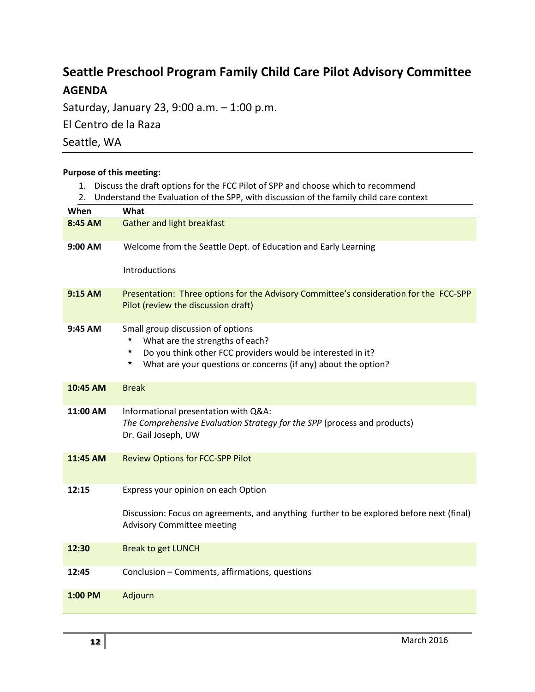# **Seattle Preschool Program Family Child Care Pilot Advisory Committee AGENDA**

Saturday, January 23, 9:00 a.m. – 1:00 p.m.

El Centro de la Raza

Seattle, WA

| <b>Purpose of this meeting:</b><br>Discuss the draft options for the FCC Pilot of SPP and choose which to recommend<br>1. |                                                                                                                                                                                                                                  |  |  |
|---------------------------------------------------------------------------------------------------------------------------|----------------------------------------------------------------------------------------------------------------------------------------------------------------------------------------------------------------------------------|--|--|
| 2.                                                                                                                        | Understand the Evaluation of the SPP, with discussion of the family child care context                                                                                                                                           |  |  |
| When                                                                                                                      | What                                                                                                                                                                                                                             |  |  |
| 8:45 AM                                                                                                                   | <b>Gather and light breakfast</b>                                                                                                                                                                                                |  |  |
| 9:00 AM                                                                                                                   | Welcome from the Seattle Dept. of Education and Early Learning                                                                                                                                                                   |  |  |
|                                                                                                                           | Introductions                                                                                                                                                                                                                    |  |  |
| 9:15 AM                                                                                                                   | Presentation: Three options for the Advisory Committee's consideration for the FCC-SPP<br>Pilot (review the discussion draft)                                                                                                    |  |  |
| 9:45 AM                                                                                                                   | Small group discussion of options<br>$\star$<br>What are the strengths of each?<br>Do you think other FCC providers would be interested in it?<br>$\star$<br>★<br>What are your questions or concerns (if any) about the option? |  |  |
| 10:45 AM                                                                                                                  | <b>Break</b>                                                                                                                                                                                                                     |  |  |
| 11:00 AM                                                                                                                  | Informational presentation with Q&A:<br>The Comprehensive Evaluation Strategy for the SPP (process and products)<br>Dr. Gail Joseph, UW                                                                                          |  |  |
| 11:45 AM                                                                                                                  | <b>Review Options for FCC-SPP Pilot</b>                                                                                                                                                                                          |  |  |
| 12:15                                                                                                                     | Express your opinion on each Option                                                                                                                                                                                              |  |  |
|                                                                                                                           | Discussion: Focus on agreements, and anything further to be explored before next (final)<br><b>Advisory Committee meeting</b>                                                                                                    |  |  |
| 12:30                                                                                                                     | <b>Break to get LUNCH</b>                                                                                                                                                                                                        |  |  |
| 12:45                                                                                                                     | Conclusion - Comments, affirmations, questions                                                                                                                                                                                   |  |  |

**1:00 PM** Adjourn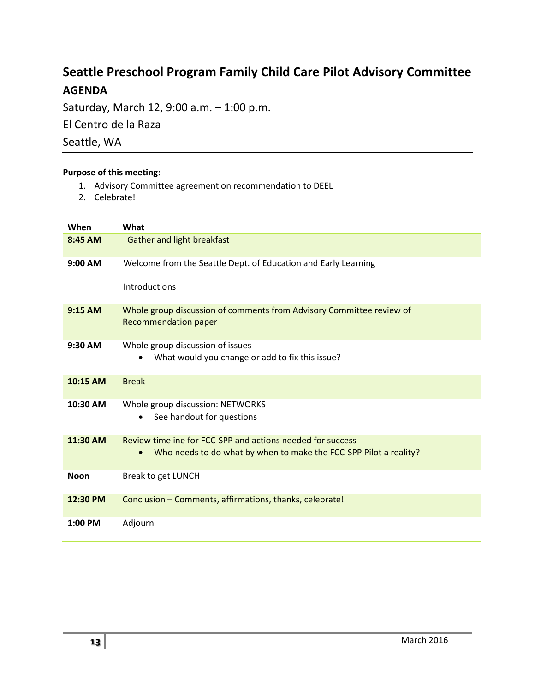# **Seattle Preschool Program Family Child Care Pilot Advisory Committee AGENDA**

Saturday, March 12, 9:00 a.m. – 1:00 p.m. El Centro de la Raza

Seattle, WA

#### **Purpose of this meeting:**

- 1. Advisory Committee agreement on recommendation to DEEL
- 2. Celebrate!

| When        | What                                                                                                                                         |
|-------------|----------------------------------------------------------------------------------------------------------------------------------------------|
| 8:45 AM     | Gather and light breakfast                                                                                                                   |
| 9:00 AM     | Welcome from the Seattle Dept. of Education and Early Learning                                                                               |
|             | Introductions                                                                                                                                |
| 9:15 AM     | Whole group discussion of comments from Advisory Committee review of<br><b>Recommendation paper</b>                                          |
| 9:30 AM     | Whole group discussion of issues<br>What would you change or add to fix this issue?                                                          |
| 10:15 AM    | <b>Break</b>                                                                                                                                 |
| 10:30 AM    | Whole group discussion: NETWORKS<br>See handout for questions                                                                                |
| 11:30 AM    | Review timeline for FCC-SPP and actions needed for success<br>Who needs to do what by when to make the FCC-SPP Pilot a reality?<br>$\bullet$ |
| <b>Noon</b> | Break to get LUNCH                                                                                                                           |
| 12:30 PM    | Conclusion - Comments, affirmations, thanks, celebrate!                                                                                      |
| 1:00 PM     | Adjourn                                                                                                                                      |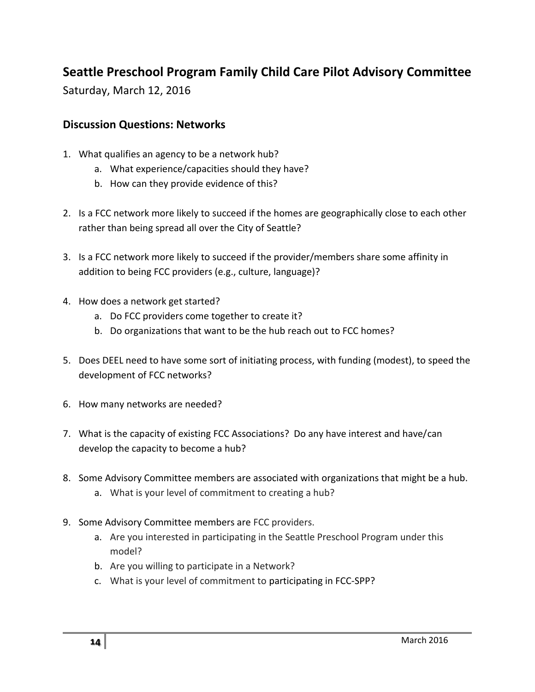# **Seattle Preschool Program Family Child Care Pilot Advisory Committee**

Saturday, March 12, 2016

### **Discussion Questions: Networks**

- 1. What qualifies an agency to be a network hub?
	- a. What experience/capacities should they have?
	- b. How can they provide evidence of this?
- 2. Is a FCC network more likely to succeed if the homes are geographically close to each other rather than being spread all over the City of Seattle?
- 3. Is a FCC network more likely to succeed if the provider/members share some affinity in addition to being FCC providers (e.g., culture, language)?
- 4. How does a network get started?
	- a. Do FCC providers come together to create it?
	- b. Do organizations that want to be the hub reach out to FCC homes?
- 5. Does DEEL need to have some sort of initiating process, with funding (modest), to speed the development of FCC networks?
- 6. How many networks are needed?
- 7. What is the capacity of existing FCC Associations? Do any have interest and have/can develop the capacity to become a hub?
- 8. Some Advisory Committee members are associated with organizations that might be a hub.
	- a. What is your level of commitment to creating a hub?
- 9. Some Advisory Committee members are FCC providers.
	- a. Are you interested in participating in the Seattle Preschool Program under this model?
	- b. Are you willing to participate in a Network?
	- c. What is your level of commitment to participating in FCC-SPP?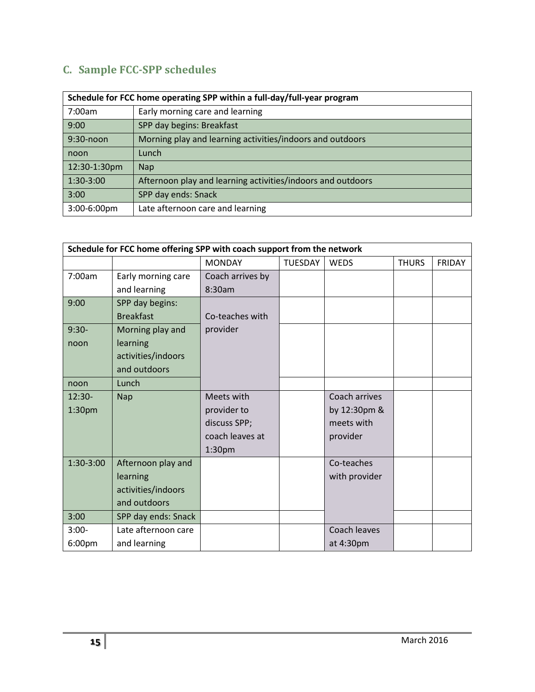# **C. Sample FCC-SPP schedules**

| Schedule for FCC home operating SPP within a full-day/full-year program |                                                             |  |
|-------------------------------------------------------------------------|-------------------------------------------------------------|--|
| 7:00am                                                                  | Early morning care and learning                             |  |
| 9:00                                                                    | SPP day begins: Breakfast                                   |  |
| 9:30-noon                                                               | Morning play and learning activities/indoors and outdoors   |  |
| noon                                                                    | Lunch                                                       |  |
| 12:30-1:30pm                                                            | <b>Nap</b>                                                  |  |
| 1:30-3:00                                                               | Afternoon play and learning activities/indoors and outdoors |  |
| 3:00                                                                    | SPP day ends: Snack                                         |  |
| 3:00-6:00pm                                                             | Late afternoon care and learning                            |  |

| Schedule for FCC home offering SPP with coach support from the network |                     |                    |                |               |              |               |
|------------------------------------------------------------------------|---------------------|--------------------|----------------|---------------|--------------|---------------|
|                                                                        |                     | <b>MONDAY</b>      | <b>TUESDAY</b> | <b>WEDS</b>   | <b>THURS</b> | <b>FRIDAY</b> |
| 7:00am                                                                 | Early morning care  | Coach arrives by   |                |               |              |               |
|                                                                        | and learning        | 8:30am             |                |               |              |               |
| 9:00                                                                   | SPP day begins:     |                    |                |               |              |               |
|                                                                        | <b>Breakfast</b>    | Co-teaches with    |                |               |              |               |
| $9:30-$                                                                | Morning play and    | provider           |                |               |              |               |
| noon                                                                   | learning            |                    |                |               |              |               |
|                                                                        | activities/indoors  |                    |                |               |              |               |
|                                                                        | and outdoors        |                    |                |               |              |               |
| noon                                                                   | Lunch               |                    |                |               |              |               |
| $12:30-$                                                               | <b>Nap</b>          | Meets with         |                | Coach arrives |              |               |
| 1:30 <sub>pm</sub>                                                     |                     | provider to        |                | by 12:30pm &  |              |               |
|                                                                        |                     | discuss SPP;       |                | meets with    |              |               |
|                                                                        |                     | coach leaves at    |                | provider      |              |               |
|                                                                        |                     | 1:30 <sub>pm</sub> |                |               |              |               |
| 1:30-3:00                                                              | Afternoon play and  |                    |                | Co-teaches    |              |               |
|                                                                        | learning            |                    |                | with provider |              |               |
|                                                                        | activities/indoors  |                    |                |               |              |               |
|                                                                        | and outdoors        |                    |                |               |              |               |
| 3:00                                                                   | SPP day ends: Snack |                    |                |               |              |               |
| $3:00-$                                                                | Late afternoon care |                    |                | Coach leaves  |              |               |
| 6:00pm                                                                 | and learning        |                    |                | at 4:30pm     |              |               |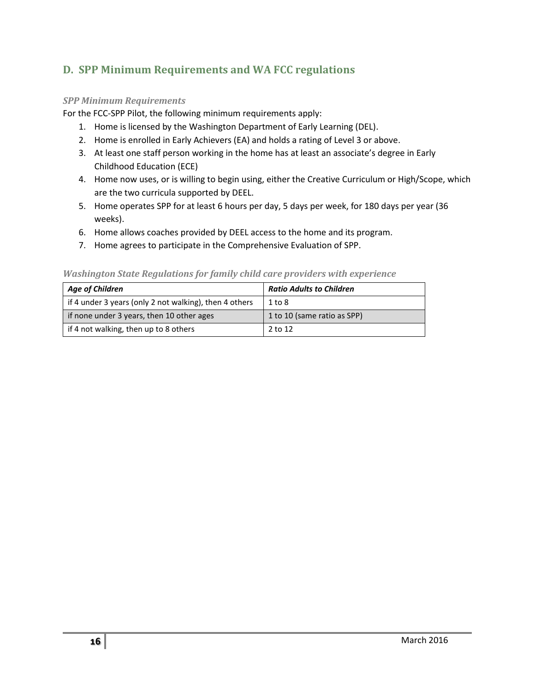### **D. SPP Minimum Requirements and WA FCC regulations**

#### *SPP Minimum Requirements*

For the FCC-SPP Pilot, the following minimum requirements apply:

- 1. Home is licensed by the Washington Department of Early Learning (DEL).
- 2. Home is enrolled in Early Achievers (EA) and holds a rating of Level 3 or above.
- 3. At least one staff person working in the home has at least an associate's degree in Early Childhood Education (ECE)
- 4. Home now uses, or is willing to begin using, either the Creative Curriculum or High/Scope, which are the two curricula supported by DEEL.
- 5. Home operates SPP for at least 6 hours per day, 5 days per week, for 180 days per year (36 weeks).
- 6. Home allows coaches provided by DEEL access to the home and its program.
- 7. Home agrees to participate in the Comprehensive Evaluation of SPP.

| <b>Age of Children</b>                                 | <b>Ratio Adults to Children</b> |
|--------------------------------------------------------|---------------------------------|
| if 4 under 3 years (only 2 not walking), then 4 others | $1$ to $8$                      |
| if none under 3 years, then 10 other ages              | 1 to 10 (same ratio as SPP)     |
| if 4 not walking, then up to 8 others                  | 2 to 12                         |

#### *Washington State Regulations for family child care providers with experience*